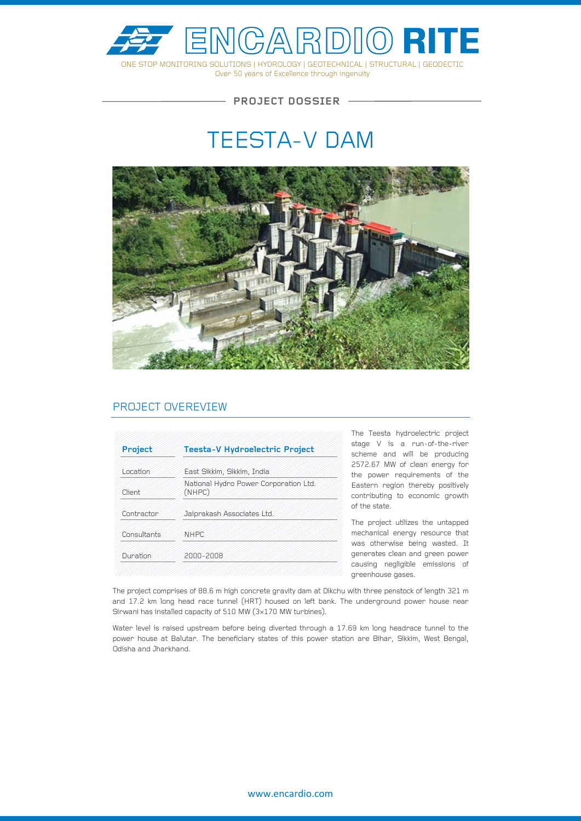

Over 50 years of Excellence through ingenuity

 $-$  PROJECT DOSSIER  $-$ 

# TEESTA-V DAM



### PROJECT OVEREVIEW

| Project     | Teesta-V Hydroelectric Project                  |
|-------------|-------------------------------------------------|
| Location    | East Sikkim, Sikkim, India                      |
| Client      | National Hydro Power Corporation Ltd.<br>(NHPC) |
| Contractor  | Jaiprakash Associates Ltd.                      |
| Consultants | <b>NHPC</b>                                     |
| Duration    | 2000-2008                                       |
|             |                                                 |

The Teesta hydroelectric project stage V is a run-of-the-river scheme and will be producing 2572.67 MW of clean energy for the power requirements of the Eastern region thereby positively contributing to economic growth of the state.

The project utilizes the untapped mechanical energy resource that was otherwise being wasted. It generates clean and green power causing negligible emissions of greenhouse gases.

The project comprises of 88.6 m high concrete gravity dam at Dikchu with three penstock of length 321 m and 17.2 km long head race tunnel (HRT) housed on left bank. The underground power house near Sirwani has installed capacity of 510 MW (3×170 MW turbines).

Water level is raised upstream before being diverted through a 17.69 km long headrace tunnel to the power house at Balutar. The beneficiary states of this power station are Bihar, Sikkim, West Bengal, Odisha and Jharkhand.